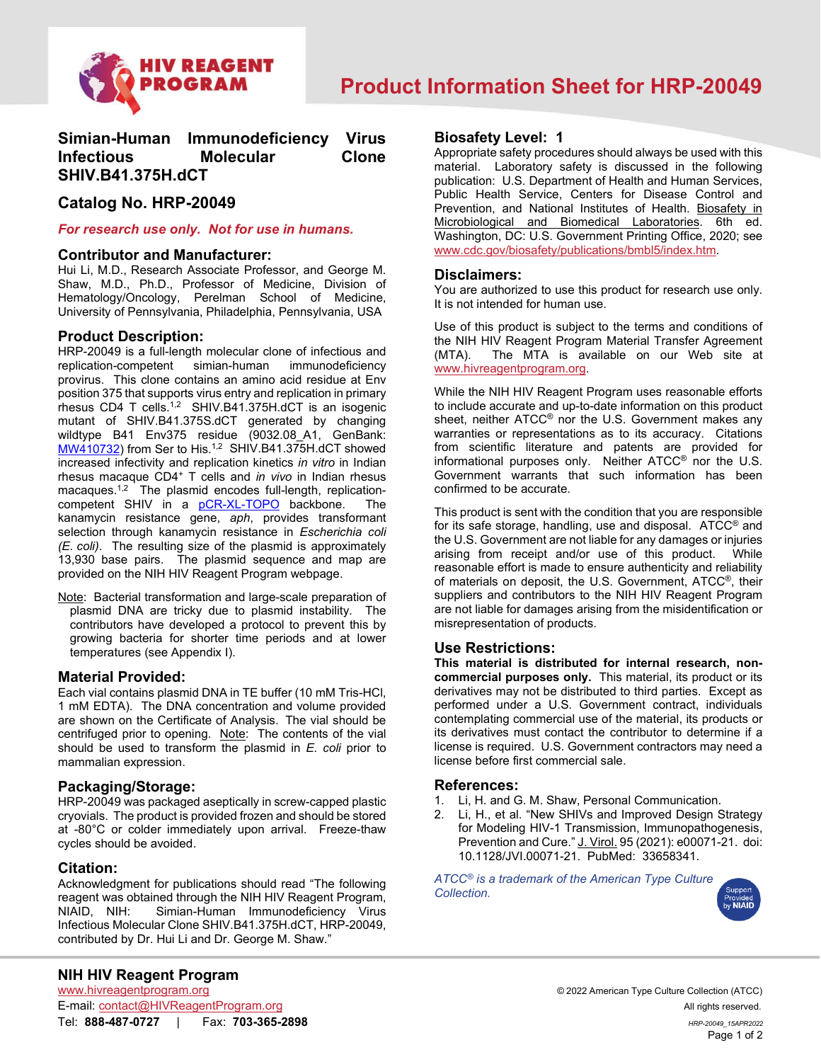

# **Simian-Human Immunodeficiency Virus Infectious Molecular Clone SHIV.B41.375H.dCT**

# **Catalog No. HRP-20049**

#### *For research use only. Not for use in humans.*

#### **Contributor and Manufacturer:**

Hui Li, M.D., Research Associate Professor, and George M. Shaw, M.D., Ph.D., Professor of Medicine, Division of Hematology/Oncology, Perelman School of Medicine, University of Pennsylvania, Philadelphia, Pennsylvania, USA

# **Product Description:**

HRP-20049 is a full-length molecular clone of infectious and replication-competent simian-human immunodeficiency provirus. This clone contains an amino acid residue at Env position 375 that supports virus entry and replication in primary rhesus CD4 T cells.1,2 SHIV.B41.375H.dCT is an isogenic mutant of SHIV.B41.375S.dCT generated by changing wildtype B41 Env375 residue (9032.08 A1, GenBank: [MW410732\)](https://www.ncbi.nlm.nih.gov/nuccore/MW410732) from Ser to His.<sup>1,2</sup> SHIV.B41.375H.dCT showed increased infectivity and replication kinetics *in vitro* in Indian rhesus macaque CD4+ T cells and *in vivo* in Indian rhesus macaques.<sup>1,2</sup> The plasmid encodes full-length, replicationcompetent SHIV in a [pCR-XL-TOPO](https://assets.fishersci.com/TFS-Assets/LSG/manuals/TOPO_XL-2_Vector.docx?_ga=2.46259940.233519730.1643146610-1982692922.1643146610) backbone. The kanamycin resistance gene, *aph*, provides transformant selection through kanamycin resistance in *Escherichia coli (E. coli)*. The resulting size of the plasmid is approximately 13,930 base pairs. The plasmid sequence and map are provided on the NIH HIV Reagent Program webpage.

Note: Bacterial transformation and large-scale preparation of plasmid DNA are tricky due to plasmid instability. The contributors have developed a protocol to prevent this by growing bacteria for shorter time periods and at lower temperatures (see Appendix I).

# **Material Provided:**

Each vial contains plasmid DNA in TE buffer (10 mM Tris-HCl, 1 mM EDTA). The DNA concentration and volume provided are shown on the Certificate of Analysis. The vial should be centrifuged prior to opening. Note: The contents of the vial should be used to transform the plasmid in *E. coli* prior to mammalian expression.

# **Packaging/Storage:**

HRP-20049 was packaged aseptically in screw-capped plastic cryovials. The product is provided frozen and should be stored at -80°C or colder immediately upon arrival. Freeze-thaw cycles should be avoided.

#### **Citation:**

Acknowledgment for publications should read "The following reagent was obtained through the NIH HIV Reagent Program, NIAID, NIH: Simian-Human Immunodeficiency Virus Infectious Molecular Clone SHIV.B41.375H.dCT, HRP-20049, contributed by Dr. Hui Li and Dr. George M. Shaw."

#### **Biosafety Level: 1**

Appropriate safety procedures should always be used with this material. Laboratory safety is discussed in the following publication: U.S. Department of Health and Human Services, Public Health Service, Centers for Disease Control and Prevention, and National Institutes of Health. Biosafety in Microbiological and Biomedical Laboratories. 6th ed. Washington, DC: U.S. Government Printing Office, 2020; see [www.cdc.gov/biosafety/publications/bmbl5/index.htm.](http://www.cdc.gov/biosafety/publications/bmbl5/index.htm)

#### **Disclaimers:**

You are authorized to use this product for research use only. It is not intended for human use.

Use of this product is subject to the terms and conditions of the NIH HIV Reagent Program Material Transfer Agreement<br>(MTA). The MTA is available on our Web site at The MTA is available on our Web site at [www.hivreagentprogram.org.](https://www.hivreagentprogram.org/Home.aspx)

While the NIH HIV Reagent Program uses reasonable efforts to include accurate and up-to-date information on this product sheet, neither ATCC<sup>®</sup> nor the U.S. Government makes any warranties or representations as to its accuracy. Citations from scientific literature and patents are provided for informational purposes only. Neither ATCC® nor the U.S. Government warrants that such information has been confirmed to be accurate.

This product is sent with the condition that you are responsible for its safe storage, handling, use and disposal.  $ATCC<sup>®</sup>$  and the U.S. Government are not liable for any damages or injuries arising from receipt and/or use of this product. While reasonable effort is made to ensure authenticity and reliability of materials on deposit, the U.S. Government, ATCC®, their suppliers and contributors to the NIH HIV Reagent Program are not liable for damages arising from the misidentification or misrepresentation of products.

# **Use Restrictions:**

**This material is distributed for internal research, noncommercial purposes only.** This material, its product or its derivatives may not be distributed to third parties. Except as performed under a U.S. Government contract, individuals contemplating commercial use of the material, its products or its derivatives must contact the contributor to determine if a license is required. U.S. Government contractors may need a license before first commercial sale.

# **References:**

- 1. Li, H. and G. M. Shaw, Personal Communication.
- Li, H., et al. "New SHIVs and Improved Design Strategy for Modeling HIV-1 Transmission, Immunopathogenesis, Prevention and Cure." J. Virol. 95 (2021): e00071-21. doi: 10.1128/JVI.00071-21. PubMed: 33658341.

*ATCC® is a trademark of the American Type Culture Collection.*



E-mail: contact@HIVReagentProgram.org All rights reserved. Tel: **888-487-0727** | Fax: **703-365-2898** *HRP-20049\_15APR2022*